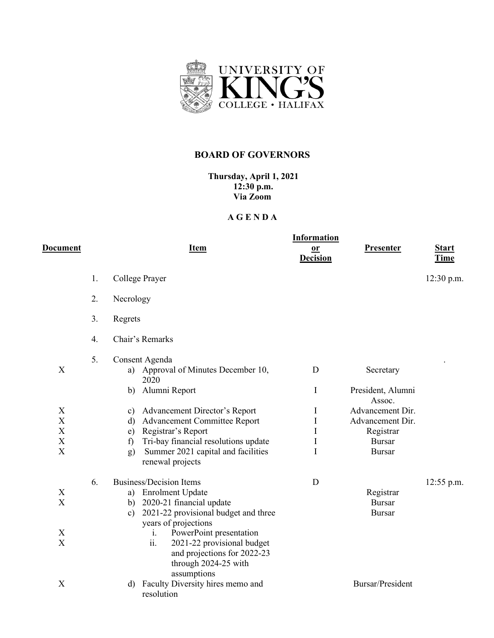

## **BOARD OF GOVERNORS**

**Thursday, April 1, 2021 12:30 p.m. Via Zoom**

## **A G E N D A**

| D <u>ocument</u>                                             |    | <b>Item</b>                                                                                                                                                                                                                                                                                                        | <b>Information</b><br>$\underline{\mathbf{or}}$<br><b>Decision</b> | Presenter                                                                                     | <b>Start</b><br><b>Time</b> |
|--------------------------------------------------------------|----|--------------------------------------------------------------------------------------------------------------------------------------------------------------------------------------------------------------------------------------------------------------------------------------------------------------------|--------------------------------------------------------------------|-----------------------------------------------------------------------------------------------|-----------------------------|
|                                                              | 1. | College Prayer                                                                                                                                                                                                                                                                                                     |                                                                    |                                                                                               | $12:30$ p.m.                |
|                                                              | 2. | Necrology                                                                                                                                                                                                                                                                                                          |                                                                    |                                                                                               |                             |
|                                                              | 3. | Regrets                                                                                                                                                                                                                                                                                                            |                                                                    |                                                                                               |                             |
|                                                              | 4. | Chair's Remarks                                                                                                                                                                                                                                                                                                    |                                                                    |                                                                                               |                             |
| $\boldsymbol{\mathrm{X}}$                                    | 5. | Consent Agenda<br>a) Approval of Minutes December 10,<br>2020<br>Alumni Report<br>b)                                                                                                                                                                                                                               | D<br>$\bf{I}$                                                      | Secretary<br>President, Alumni                                                                |                             |
| X<br>X<br>X<br>X<br>$\boldsymbol{\mathrm{X}}$                |    | c) Advancement Director's Report<br>Advancement Committee Report<br>d)<br>Registrar's Report<br>e)<br>Tri-bay financial resolutions update<br>$\mathbf{f}$<br>Summer 2021 capital and facilities<br>g)<br>renewal projects                                                                                         | I<br>$\mathbf I$<br>$\mathbf I$<br>I<br>I                          | Assoc.<br>Advancement Dir.<br>Advancement Dir.<br>Registrar<br><b>Bursar</b><br><b>Bursar</b> |                             |
| X<br>$\mathbf X$<br>$\mathbf X$<br>$\boldsymbol{\mathrm{X}}$ | 6. | <b>Business/Decision Items</b><br>a) Enrolment Update<br>b) 2020-21 financial update<br>2021-22 provisional budget and three<br>c)<br>years of projections<br>PowerPoint presentation<br>$\mathbf{i}$ .<br>ii.<br>2021-22 provisional budget<br>and projections for 2022-23<br>through 2024-25 with<br>assumptions | D                                                                  | Registrar<br><b>Bursar</b><br><b>Bursar</b>                                                   | $12:55$ p.m.                |
| X                                                            |    | Faculty Diversity hires memo and<br>d)<br>resolution                                                                                                                                                                                                                                                               |                                                                    | <b>Bursar/President</b>                                                                       |                             |